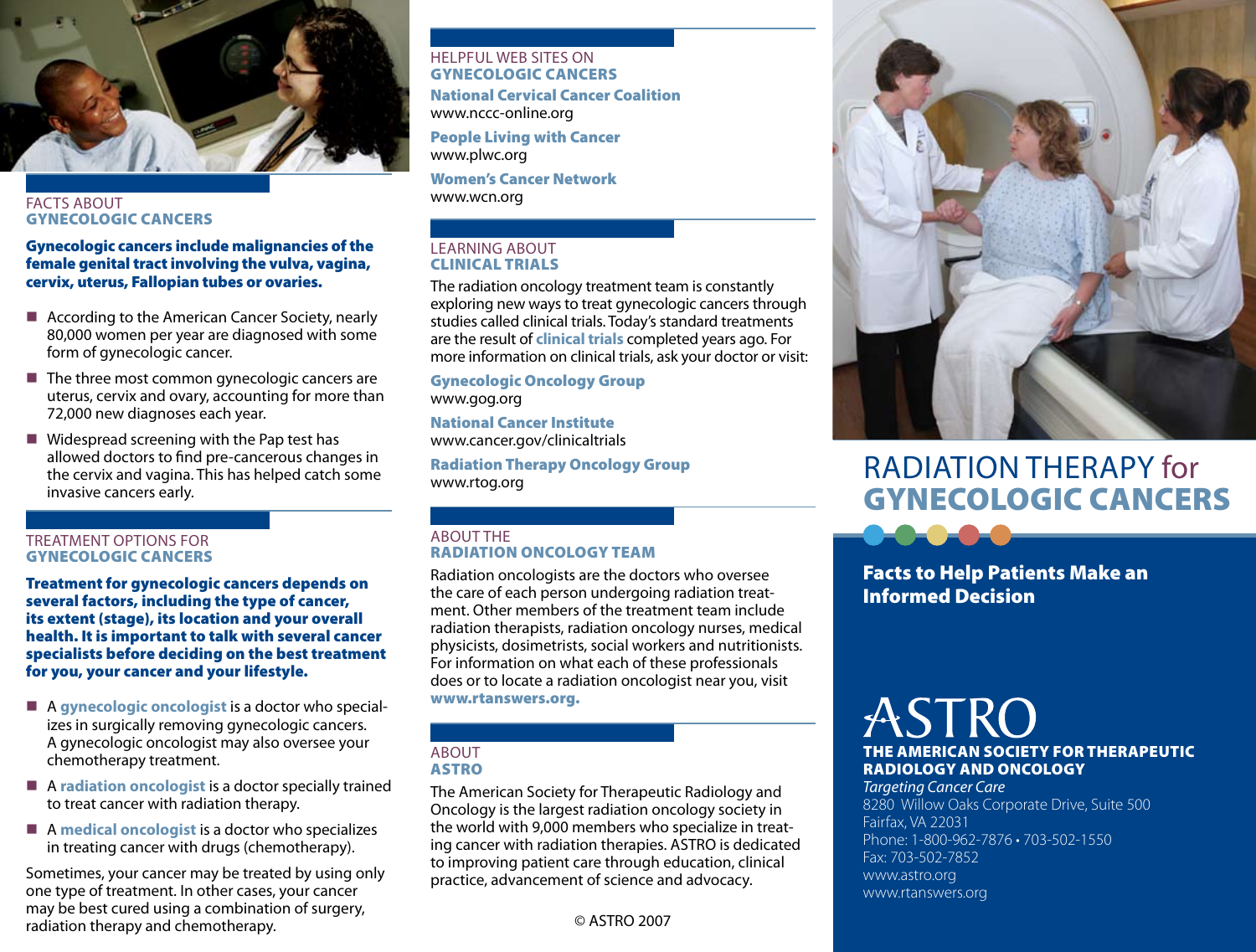

#### **FACTS ABOUT** Gynecologic Cancers

#### Gynecologic cancers include malignancies of the female genital tract involving the vulva, vagina, cervix, uterus, Fallopian tubes or ovaries.

- According to the American Cancer Society, nearly 80,000 women per year are diagnosed with some form of gynecologic cancer.
- $\blacksquare$  The three most common gynecologic cancers are uterus, cervix and ovary, accounting for more than 72,000 new diagnoses each year.
- Widespread screening with the Pap test has allowed doctors to find pre-cancerous changes in the cervix and vagina. This has helped catch some invasive cancers early.

#### Treatment Options for Gynecologic Cancers

Treatment for gynecologic cancers depends on several factors, including the type of cancer, its extent (stage), its location and your overall health. It is important to talk with several cancer specialists before deciding on the best treatment for you, your cancer and your lifestyle.

- A **gynecologic oncologist** is a doctor who special izes in surgically removing gynecologic cancers. A gynecologic oncologist may also oversee your chemotherapy treatment.
- A **radiation oncologist** is a doctor specially trained to treat cancer with radiation therapy.
- A **medical oncologist** is a doctor who specializes in treating cancer with drugs (chemotherapy).

Sometimes, your cancer may be treated by using only one type of treatment. In other cases, your cancer may be best cured using a combination of surgery, radiation therapy and chemotherapy.

# Helpful Web Sites on Gynecologic Cancers

National Cervical Cancer Coalition www.nccc-online.org

People Living with Cancer www.plwc.org

Women's Cancer Network www.wcn.org

#### Learning About Clinical Trials

The radiation oncology treatment team is constantly exploring new ways to treat gynecologic cancers through studies called clinical trials. Today's standard treatments are the result of **clinical trials** completed years ago. For more information on clinical trials, ask your doctor or visit:

Gynecologic Oncology Group www.gog.org

National Cancer Institute www.cancer.gov/clinicaltrials

Radiation Therapy Oncology Group www.rtog.org

# **ABOUT THE** Radiation Oncology Team

Radiation oncologists are the doctors who oversee the care of each person undergoing radiation treatment. Other members of the treatment team include radiation therapists, radiation oncology nurses, medical physicists, dosimetrists, social workers and nutritionists. For information on what each of these professionals does or to locate a radiation oncologist near you, visit www.rtanswers.org.

# **ABOUT** ASTRO

The American Society for Therapeutic Radiology and Oncology is the largest radiation oncology society in the world with 9,000 members who specialize in treating cancer with radiation therapies. ASTRO is dedicated to improving patient care through education, clinical practice, advancement of science and advocacy.



# Radiation Therapy for Gynecologic Cancers

Facts to Help Patients Make an Informed Decision

# ASTRO The American Society for Therapeutic Radiology and Oncology

*Targeting Cancer Care* 8280 Willow Oaks Corporate Drive, Suite 500 Fairfax, VA 22031 Phone: 1-800-962-7876 • 703-502-1550 Fax: 703-502-7852 www.astro.org www.rtanswers.org